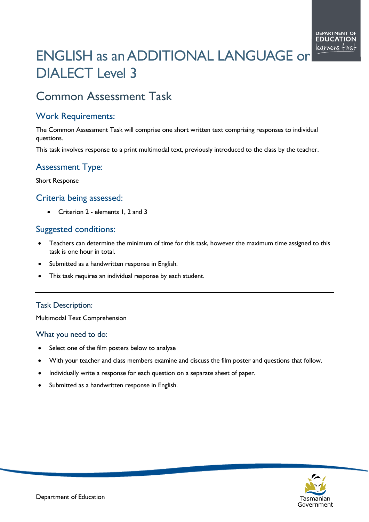# ENGLISH as an ADDITIONAL LANGUAGE or DIALECT Level 3

# Common Assessment Task

## Work Requirements:

The Common Assessment Task will comprise one short written text comprising responses to individual questions.

This task involves response to a print multimodal text, previously introduced to the class by the teacher.

# Assessment Type:

Short Response

### Criteria being assessed:

• Criterion 2 - elements 1, 2 and 3

### Suggested conditions:

- Teachers can determine the minimum of time for this task, however the maximum time assigned to this task is one hour in total.
- Submitted as a handwritten response in English.
- This task requires an individual response by each student.

#### Task Description:

Multimodal Text Comprehension

#### What you need to do:

- Select one of the film posters below to analyse
- With your teacher and class members examine and discuss the film poster and questions that follow.
- Individually write a response for each question on a separate sheet of paper.
- Submitted as a handwritten response in English.